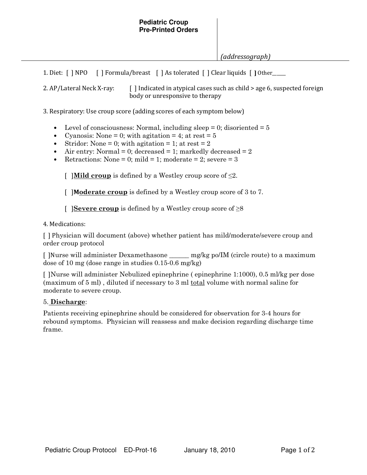1. Diet: [ ] NPO [ ] Formula/breast [ ] As tolerated [ ] Clear liquids [ ] Other\_\_\_\_\_\_

2. AP/Lateral Neck X-ray: [ ] Indicated in atypical cases such as child > age 6, suspected foreign body or unresponsive to therapy

3. Respiratory: Use croup score (adding scores of each symptom below)

- Level of consciousness: Normal, including sleep  $= 0$ ; disoriented  $= 5$
- Cyanosis: None = 0; with agitation = 4; at rest =  $5$
- Stridor: None = 0; with agitation = 1; at rest = 2
- Air entry: Normal = 0; decreased = 1; markedly decreased =  $2$
- Retractions: None = 0; mild = 1; moderate = 2; severe = 3

[ ]Mild croup is defined by a Westley croup score of  $\leq 2$ .

[ **]Moderate croup** is defined by a Westley croup score of 3 to 7.

[ **]Severe croup** is defined by a Westley croup score of  $\geq 8$ 

4. Medications:

[ ] Physician will document (above) whether patient has mild/moderate/severe croup and order croup protocol

[ ]Nurse will administer Dexamethasone \_\_\_\_\_\_ mg/kg po/IM (circle route) to a maximum dose of 10 mg (dose range in studies 0.15-0.6 mg/kg)

[ ]Nurse will administer Nebulized epinephrine ( epinephrine 1:1000), 0.5 ml/kg per dose (maximum of 5 ml) , diluted if necessary to 3 ml total volume with normal saline for moderate to severe croup.

## 5. Discharge:

Patients receiving epinephrine should be considered for observation for 3-4 hours for rebound symptoms. Physician will reassess and make decision regarding discharge time frame.